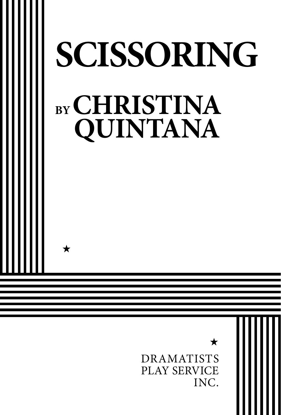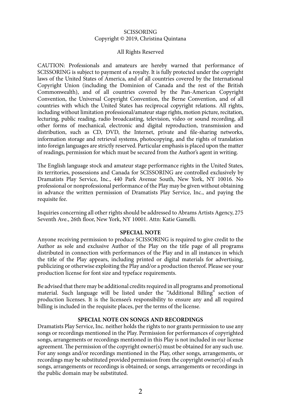#### SCISSORING Copyright © 2019, Christina Quintana

#### All Rights Reserved

CAUTION: Professionals and amateurs are hereby warned that performance of SCISSORING is subject to payment of a royalty. It is fully protected under the copyright laws of the United States of America, and of all countries covered by the International Copyright Union (including the Dominion of Canada and the rest of the British Commonwealth), and of all countries covered by the Pan-American Copyright Convention, the Universal Copyright Convention, the Berne Convention, and of all countries with which the United States has reciprocal copyright relations. All rights, including without limitation professional/amateur stage rights, motion picture, recitation, lecturing, public reading, radio broadcasting, television, video or sound recording, all other forms of mechanical, electronic and digital reproduction, transmission and distribution, such as CD, DVD, the Internet, private and file-sharing networks, information storage and retrieval systems, photocopying, and the rights of translation into foreign languages are strictly reserved. Particular emphasis is placed upon the matter of readings, permission for which must be secured from the Author's agent in writing.

The English language stock and amateur stage performance rights in the United States, its territories, possessions and Canada for SCISSORING are controlled exclusively by Dramatists Play Service, Inc., 440 Park Avenue South, New York, NY 10016. No professional or nonprofessional performance of the Play may be given without obtaining in advance the written permission of Dramatists Play Service, Inc., and paying the requisite fee.

Inquiries concerning all other rights should be addressed to Abrams Artists Agency, 275 Seventh Ave., 26th floor, New York, NY 10001. Attn: Katie Gamelli.

#### **SPECIAL NOTE**

Anyone receiving permission to produce SCISSORING is required to give credit to the Author as sole and exclusive Author of the Play on the title page of all programs distributed in connection with performances of the Play and in all instances in which the title of the Play appears, including printed or digital materials for advertising, publicizing or otherwise exploiting the Play and/or a production thereof. Please see your production license for font size and typeface requirements.

Be advised that there may be additional credits required in all programs and promotional material. Such language will be listed under the "Additional Billing" section of production licenses. It is the licensee's responsibility to ensure any and all required billing is included in the requisite places, per the terms of the license.

#### **SPECIAL NOTE ON SONGS AND RECORDINGS**

Dramatists Play Service, Inc. neither holds the rights to nor grants permission to use any songs or recordings mentioned in the Play. Permission for performances of copyrighted songs, arrangements or recordings mentioned in this Play is not included in our license agreement. The permission of the copyright owner(s) must be obtained for any such use. For any songs and/or recordings mentioned in the Play, other songs, arrangements, or recordings may be substituted provided permission from the copyright owner(s) of such songs, arrangements or recordings is obtained; or songs, arrangements or recordings in the public domain may be substituted.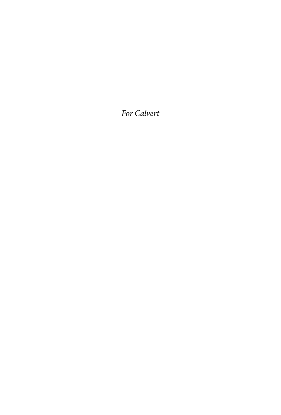*For Calvert*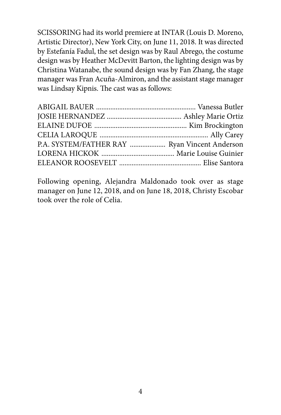SCISSORING had its world premiere at INTAR (Louis D. Moreno, Artistic Director), New York City, on June 11, 2018. It was directed by Estefanía Fadul, the set design was by Raul Abrego, the costume design was by Heather McDevitt Barton, the lighting design was by Christina Watanabe, the sound design was by Fan Zhang, the stage manager was Fran Acuña-Almiron, and the assistant stage manager was Lindsay Kipnis. The cast was as follows:

| P.A. SYSTEM/FATHER RAY  Ryan Vincent Anderson |  |
|-----------------------------------------------|--|
|                                               |  |
|                                               |  |

Following opening, Alejandra Maldonado took over as stage manager on June 12, 2018, and on June 18, 2018, Christy Escobar took over the role of Celia.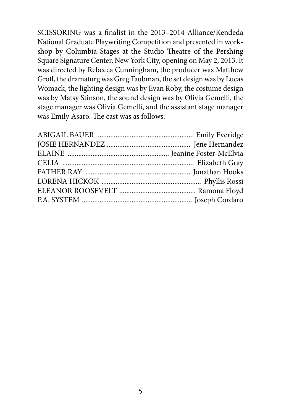SCISSORING was a finalist in the 2013–2014 Alliance/Kendeda National Graduate Playwriting Competition and presented in workshop by Columbia Stages at the Studio Theatre of the Pershing Square Signature Center, New York City, opening on May 2, 2013. It was directed by Rebecca Cunningham, the producer was Matthew Groff, the dramaturg was Greg Taubman, the set design was by Lucas Womack, the lighting design was by Evan Roby, the costume design was by Matsy Stinson, the sound design was by Olivia Gemelli, the stage manager was Olivia Gemelli, and the assistant stage manager was Emily Asaro. The cast was as follows: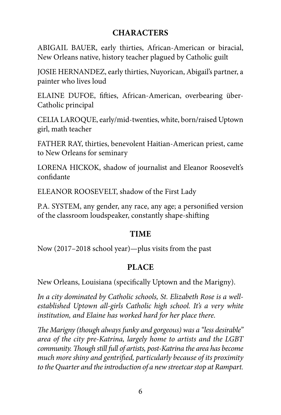## **CHARACTERS**

ABIGAIL BAUER, early thirties, African-American or biracial, New Orleans native, history teacher plagued by Catholic guilt

JOSIE HERNANDEZ, early thirties, Nuyorican, Abigail's partner, a painter who lives loud

ELAINE DUFOE, fifties, African-American, overbearing über-Catholic principal

CELIA LAROQUE, early/mid-twenties, white, born/raised Uptown girl, math teacher

FATHER RAY, thirties, benevolent Haitian-American priest, came to New Orleans for seminary

LORENA HICKOK, shadow of journalist and Eleanor Roosevelt's confidante

ELEANOR ROOSEVELT, shadow of the First Lady

P.A. SYSTEM, any gender, any race, any age; a personified version of the classroom loudspeaker, constantly shape-shifting

### **TIME**

Now (2017–2018 school year)—plus visits from the past

## **PLACE**

New Orleans, Louisiana (specifically Uptown and the Marigny).

*In a city dominated by Catholic schools, St. Elizabeth Rose is a wellestablished Uptown all-girls Catholic high school. It's a very white institution, and Elaine has worked hard for her place there.*

*The Marigny (though always funky and gorgeous) was a "less desirable" area of the city pre-Katrina, largely home to artists and the LGBT community. Though still full of artists, post-Katrina the area has become much more shiny and gentrified, particularly because of its proximity to the Quarter and the introduction of a new streetcar stop at Rampart.*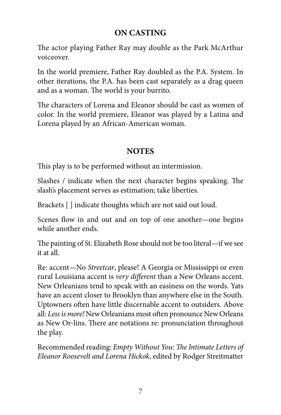# **ON CASTING**

The actor playing Father Ray may double as the Park McArthur voiceover.

In the world premiere, Father Ray doubled as the P.A. System. In other iterations, the P.A. has been cast separately as a drag queen and as a woman. The world is your burrito.

The characters of Lorena and Eleanor should be cast as women of color. In the world premiere, Eleanor was played by a Latina and Lorena played by an African-American woman.

## **NOTES**

This play is to be performed without an intermission.

Slashes / indicate when the next character begins speaking. The slash's placement serves as estimation; take liberties.

Brackets [ ] indicate thoughts which are not said out loud.

Scenes flow in and out and on top of one another—one begins while another ends.

The painting of St. Elizabeth Rose should not be too literal—if we see it at all.

Re: accent—No *Streetcar*, please! A Georgia or Mississippi or even rural Louisiana accent is *very different* than a New Orleans accent. New Orleanians tend to speak with an easiness on the words. Yats have an accent closer to Brooklyn than anywhere else in the South. Uptowners often have little discernable accent to outsiders. Above all: *Less is more!* New Orleanians most often pronounce New Orleans as New Or-lins. There are notations re: pronunciation throughout the play.

Recommended reading: *Empty Without You: The Intimate Letters of Eleanor Roosevelt and Lorena Hickok*, edited by Rodger Streitmatter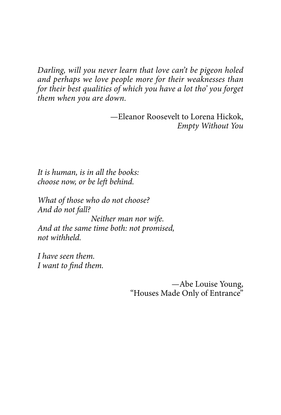*Darling, will you never learn that love can't be pigeon holed and perhaps we love people more for their weaknesses than for their best qualities of which you have a lot tho' you forget them when you are down.*

> —Eleanor Roosevelt to Lorena Hickok, *Empty Without You*

*It is human, is in all the books: choose now, or be left behind.*

*What of those who do not choose? And do not fall? Neither man nor wife. And at the same time both: not promised, not withheld.*

*I have seen them. I want to find them.*

> —Abe Louise Young, "Houses Made Only of Entrance"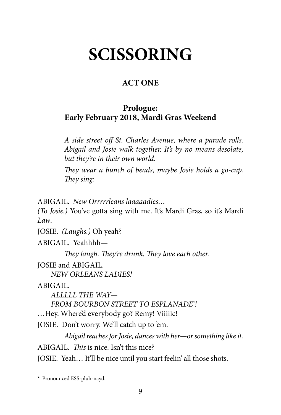# **SCISSORING**

# **ACT ONE**

## **Prologue: Early February 2018, Mardi Gras Weekend**

*A side street off St. Charles Avenue, where a parade rolls. Abigail and Josie walk together. It's by no means desolate, but they're in their own world.*

*They wear a bunch of beads, maybe Josie holds a go-cup. They sing:* 

ABIGAIL. *New Orrrrrleans laaaaadies…*

*(To Josie.)* You've gotta sing with me. It's Mardi Gras, so it's Mardi *Law*.

JOSIE. *(Laughs.)* Oh yeah?

ABIGAIL. Yeahhhh—

*They laugh. They're drunk. They love each other.*

JOSIE and ABIGAIL.

*NEW ORLEANS LADIES!*

ABIGAIL.

*ALLLLL THE WAY—*

*FROM BOURBON STREET TO ESPLANADE\* !*

…Hey. Where'd everybody go? Remy! Viiiiic!

JOSIE. Don't worry. We'll catch up to 'em.

*Abigail reaches for Josie, dances with her—or something like it.* ABIGAIL. *This* is nice. Isn't this nice? JOSIE. Yeah… It'll be nice until you start feelin' all those shots.

<sup>\*</sup> Pronounced ESS-pluh-nayd.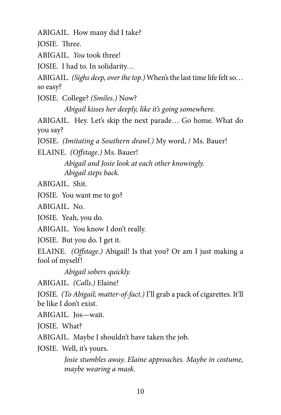ABIGAIL. How many did I take?

JOSIE. Three.

ABIGAIL. *You* took three!

JOSIE. I had to. In solidarity…

ABIGAIL. *(Sighs deep, over the top.)* When's the last time life felt so… so easy?

JOSIE. College? *(Smiles.)* Now?

*Abigail kisses her deeply, like it's going somewhere.*

ABIGAIL. Hey. Let's skip the next parade… Go home. What do you say?

JOSIE. *(Imitating a Southern drawl.)* My word, / Ms. Bauer!

ELAINE. *(Offstage.)* Ms. Bauer!

*Abigail and Josie look at each other knowingly. Abigail steps back.*

ABIGAIL. Shit.

JOSIE. You want me to go?

ABIGAIL. No.

JOSIE. Yeah, you do.

ABIGAIL. You know I don't really.

JOSIE. But you do. I get it.

ELAINE. *(Offstage.)* Abigail! Is that you? Or am I just making a fool of myself!

*Abigail sobers quickly.*

ABIGAIL. *(Calls.)* Elaine!

JOSIE. *(To Abigail; matter-of-fact.)* I'll grab a pack of cigarettes. It'll be like I don't exist.

ABIGAIL. Jos—wait.

JOSIE. What?

ABIGAIL. Maybe I shouldn't have taken the job.

JOSIE. Well, it's yours.

*Josie stumbles away. Elaine approaches. Maybe in costume, maybe wearing a mask.*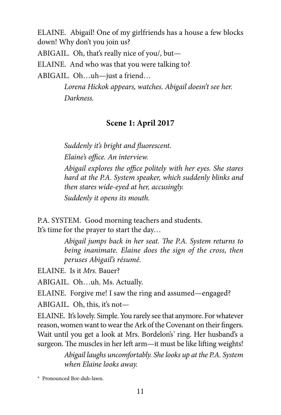ELAINE. Abigail! One of my girlfriends has a house a few blocks down! Why don't you join us?

ABIGAIL. Oh, that's really nice of you/, but—

ELAINE. And who was that you were talking to?

ABIGAIL. Oh…uh—just a friend…

*Lorena Hickok appears, watches. Abigail doesn't see her. Darkness.*

# **Scene 1: April 2017**

*Suddenly it's bright and fluorescent. Elaine's office. An interview. Abigail explores the office politely with her eyes. She stares hard at the P.A. System speaker, which suddenly blinks and then stares wide-eyed at her, accusingly. Suddenly it opens its mouth.*

P.A. SYSTEM. Good morning teachers and students. It's time for the prayer to start the day…

> *Abigail jumps back in her seat. The P.A. System returns to being inanimate. Elaine does the sign of the cross, then peruses Abigail's résumé.*

ELAINE. Is it *Mrs.* Bauer?

ABIGAIL. Oh…uh. Ms. Actually.

ELAINE. Forgive me! I saw the ring and assumed—engaged?

ABIGAIL. Oh, this, it's not—

ELAINE. It's lovely. Simple. You rarely see that anymore. For whatever reason, women want to wear the Ark of the Covenant on their fingers. Wait until you get a look at Mrs. Bordelon's*\** ring. Her husband's a surgeon. The muscles in her left arm—it must be like lifting weights!

> *Abigail laughs uncomfortably. She looks up at the P.A. System when Elaine looks away.*

\* Pronounced Bor-duh-lawn.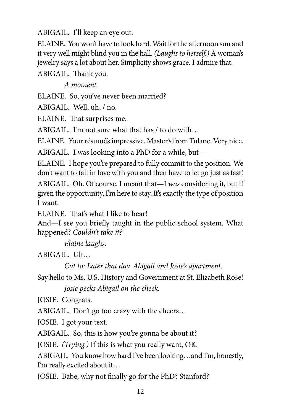ABIGAIL. I'll keep an eye out.

ELAINE. You won't have to look hard. Wait for the afternoon sun and it very well might blind you in the hall. *(Laughs to herself.)* A woman's jewelry says a lot about her. Simplicity shows grace. I admire that.

ABIGAIL. Thank you.

*A moment.*

ELAINE. So, you've never been married?

ABIGAIL. Well, uh, / no.

ELAINE. That surprises me.

ABIGAIL. I'm not sure what that has / to do with…

ELAINE. Your résumé's impressive. Master's from Tulane. Very nice.

ABIGAIL. I was looking into a PhD for a while, but—

ELAINE. I hope you're prepared to fully commit to the position. We don't want to fall in love with you and then have to let go just as fast!

ABIGAIL. Oh. Of course. I meant that—I *was* considering it, but if given the opportunity, I'm here to stay. It's exactly the type of position I want.

ELAINE. That's what I like to hear!

And—I see you briefly taught in the public school system. What happened? *Couldn't take it?*

*Elaine laughs.*

ABIGAIL. Uh…

*Cut to: Later that day. Abigail and Josie's apartment.*

Say hello to Ms. U.S. History and Government at St. Elizabeth Rose!

*Josie pecks Abigail on the cheek.*

JOSIE. Congrats.

ABIGAIL. Don't go too crazy with the cheers…

JOSIE. I got your text.

ABIGAIL. So, this is how you're gonna be about it?

JOSIE. *(Trying.)* If this is what you really want, OK.

ABIGAIL. You know how hard I've been looking…and I'm, honestly, I'm really excited about it…

JOSIE. Babe, why not finally go for the PhD? Stanford?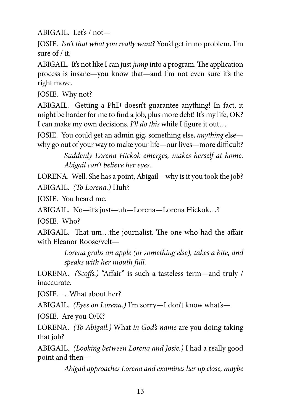ABIGAIL. Let's / not—

JOSIE. *Isn't that what you really want?* You'd get in no problem. I'm sure of / it.

ABIGAIL. It's not like I can just *jump* into a program. The application process is insane—you know that—and I'm not even sure it's the right move.

JOSIE. Why not?

ABIGAIL. Getting a PhD doesn't guarantee anything! In fact, it might be harder for me to find a job, plus more debt! It's my life, OK? I can make my own decisions. *I'll do this* while I figure it out…

JOSIE. You could get an admin gig, something else, *anything* else why go out of your way to make your life—our lives—more difficult?

> *Suddenly Lorena Hickok emerges, makes herself at home. Abigail can't believe her eyes.*

LORENA. Well. She has a point, Abigail—why is it you took the job?

ABIGAIL. *(To Lorena.)* Huh?

JOSIE. You heard me.

ABIGAIL. No—it's just—uh—Lorena—Lorena Hickok…?

JOSIE. Who?

ABIGAIL. That um…the journalist. The one who had the affair with Eleanor Roose/velt—

> *Lorena grabs an apple (or something else), takes a bite, and speaks with her mouth full.*

LORENA. *(Scoffs.)* "Affair" is such a tasteless term—and truly / inaccurate.

JOSIE. …What about her?

ABIGAIL. *(Eyes on Lorena.)* I'm sorry—I don't know what's—

JOSIE. Are you O/K?

LORENA. *(To Abigail.)* What *in God's name* are you doing taking that job?

ABIGAIL. *(Looking between Lorena and Josie.)* I had a really good point and then—

*Abigail approaches Lorena and examines her up close, maybe*